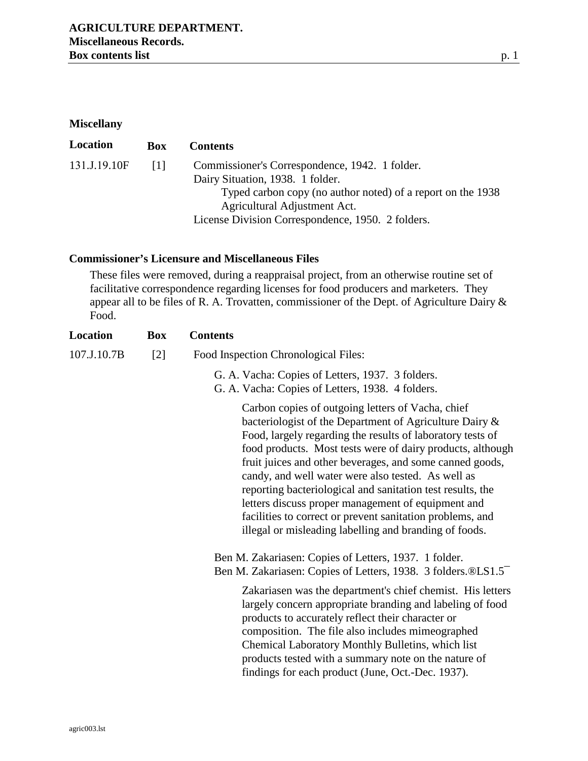## **Miscellany**

| Location     | <b>Box</b> | <b>Contents</b>                                             |
|--------------|------------|-------------------------------------------------------------|
| 131.J.19.10F | -111       | Commissioner's Correspondence, 1942. 1 folder.              |
|              |            | Dairy Situation, 1938. 1 folder.                            |
|              |            | Typed carbon copy (no author noted) of a report on the 1938 |
|              |            | Agricultural Adjustment Act.                                |
|              |            | License Division Correspondence, 1950. 2 folders.           |

## **Commissioner's Licensure and Miscellaneous Files**

These files were removed, during a reappraisal project, from an otherwise routine set of facilitative correspondence regarding licenses for food producers and marketers. They appear all to be files of R. A. Trovatten, commissioner of the Dept. of Agriculture Dairy & Food.

| Location    | <b>Box</b> | <b>Contents</b>                                                                                                                                                                                                                                                                                                                                                                                                                                                                                                                                                                                       |
|-------------|------------|-------------------------------------------------------------------------------------------------------------------------------------------------------------------------------------------------------------------------------------------------------------------------------------------------------------------------------------------------------------------------------------------------------------------------------------------------------------------------------------------------------------------------------------------------------------------------------------------------------|
| 107.J.10.7B | $[2]$      | Food Inspection Chronological Files:                                                                                                                                                                                                                                                                                                                                                                                                                                                                                                                                                                  |
|             |            | G. A. Vacha: Copies of Letters, 1937. 3 folders.<br>G. A. Vacha: Copies of Letters, 1938. 4 folders.                                                                                                                                                                                                                                                                                                                                                                                                                                                                                                  |
|             |            | Carbon copies of outgoing letters of Vacha, chief<br>bacteriologist of the Department of Agriculture Dairy &<br>Food, largely regarding the results of laboratory tests of<br>food products. Most tests were of dairy products, although<br>fruit juices and other beverages, and some canned goods,<br>candy, and well water were also tested. As well as<br>reporting bacteriological and sanitation test results, the<br>letters discuss proper management of equipment and<br>facilities to correct or prevent sanitation problems, and<br>illegal or misleading labelling and branding of foods. |
|             |            | Ben M. Zakariasen: Copies of Letters, 1937. 1 folder.<br>Ben M. Zakariasen: Copies of Letters, 1938. 3 folders.®LS1.5                                                                                                                                                                                                                                                                                                                                                                                                                                                                                 |
|             |            | Zakariasen was the department's chief chemist. His letters<br>largely concern appropriate branding and labeling of food<br>products to accurately reflect their character or<br>composition. The file also includes mimeographed<br>Chemical Laboratory Monthly Bulletins, which list<br>products tested with a summary note on the nature of<br>findings for each product (June, Oct.-Dec. 1937).                                                                                                                                                                                                    |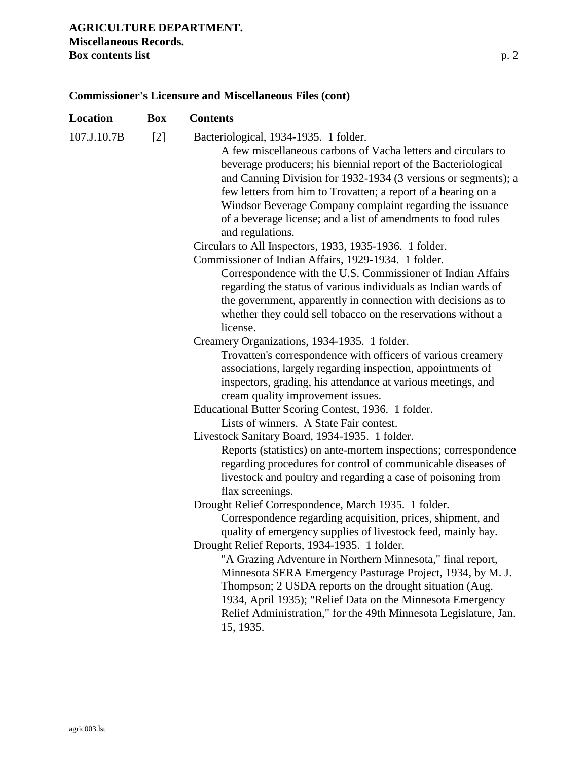# **Location Box Contents**  107.J.10.7B [2] Bacteriological, 1934-1935. 1 folder. A few miscellaneous carbons of Vacha letters and circulars to beverage producers; his biennial report of the Bacteriological and Canning Division for 1932-1934 (3 versions or segments); a few letters from him to Trovatten; a report of a hearing on a Windsor Beverage Company complaint regarding the issuance of a beverage license; and a list of amendments to food rules and regulations. Circulars to All Inspectors, 1933, 1935-1936. 1 folder. Commissioner of Indian Affairs, 1929-1934. 1 folder. Correspondence with the U.S. Commissioner of Indian Affairs regarding the status of various individuals as Indian wards of the government, apparently in connection with decisions as to whether they could sell tobacco on the reservations without a license. Creamery Organizations, 1934-1935. 1 folder. Trovatten's correspondence with officers of various creamery associations, largely regarding inspection, appointments of inspectors, grading, his attendance at various meetings, and cream quality improvement issues. Educational Butter Scoring Contest, 1936. 1 folder. Lists of winners. A State Fair contest. Livestock Sanitary Board, 1934-1935. 1 folder. Reports (statistics) on ante-mortem inspections; correspondence regarding procedures for control of communicable diseases of livestock and poultry and regarding a case of poisoning from flax screenings. Drought Relief Correspondence, March 1935. 1 folder. Correspondence regarding acquisition, prices, shipment, and quality of emergency supplies of livestock feed, mainly hay. Drought Relief Reports, 1934-1935. 1 folder. "A Grazing Adventure in Northern Minnesota," final report, Minnesota SERA Emergency Pasturage Project, 1934, by M. J. Thompson; 2 USDA reports on the drought situation (Aug. 1934, April 1935); "Relief Data on the Minnesota Emergency Relief Administration," for the 49th Minnesota Legislature, Jan. 15, 1935.

#### **Commissioner's Licensure and Miscellaneous Files (cont)**